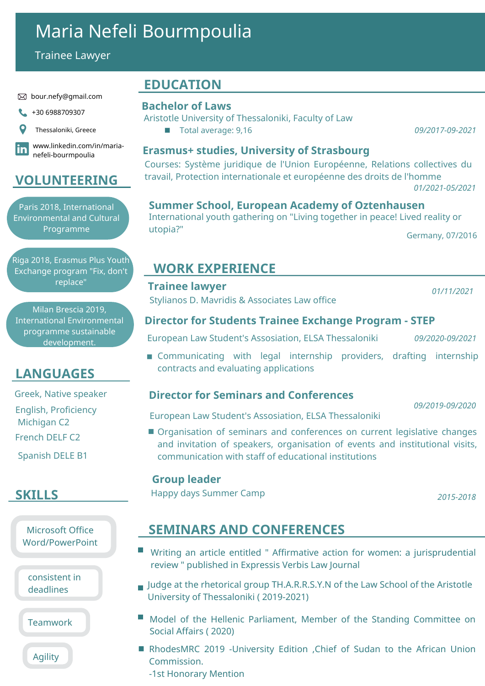# Maria Nefeli Bourmpoulia

Trainee Lawyer

#### bour.nefy@gmail.com

1+30 6988709307



www.linkedin.com/in/maria- $|{\bf in}|$ nefeli-bourmpoulia

### **VOLUNTEERING**

Paris 2018, International Environmental and Cultural Programme

Riga 2018, Erasmus Plus Youth Exchange program "Fix, don't replace"

Milan Brescia 2019, International Environmental programme sustainable development.

### **LANGUAGES**

English, Proficiency Greek, Native speaker

Michigan C2

French DELF C2

Spanish DELE B1

### **SKILLS**

Microsoft Office Word/PowerPoint

consistent in deadlines

Teamwork

Agility

### **EDUCATION**

#### **Bachelor of Laws**

Aristotle University of Thessaloniki, Faculty of Law

Total average: 9,16 *09/2017-09-2021*  $\overline{\phantom{a}}$ 

#### **Erasmus+ studies, University of Strasbourg**

Courses: Système juridique de l'Union Européenne, Relations collectives du travail, Protection internationale et européenne des droits de l'homme *01/2021-05/2021*

#### **Summer School, European Academy of Oztenhausen**

International youth gathering on "Living together in peace! Lived reality or utopia?"

Germany, 07/2016

### **WORK EXPERIENCE**

#### **Trainee lawyer**

Stylianos D. Mavridis & Associates Law office

*01/11/2021*

*09/2019-09/2020*

#### **Director for Students Trainee Exchange Program - STEP**

European Law Student's Assosiation, ELSA Thessaloniki *09/2020-09/2021*

**Communicating with legal internship providers, drafting internship** contracts and evaluating applications

### **Director for Seminars and Conferences**

European Law Student's Assosiation, ELSA Thessaloniki

**Organisation of seminars and conferences on current legislative changes** and invitation of speakers, organisation of events and institutional visits, communication with staff of educational institutions

#### **Group leader**

Happy days Summer Camp *2015-2018*

## **SEMINARS AND CONFERENCES**

- Writing an article entitled " Affirmative action for women: a jurisprudential review " published in Expressis Verbis Law Journal
- $\blacksquare$  Judge at the rhetorical group TH.A.R.R.S.Y.N of the Law School of the Aristotle University of Thessaloniki ( 2019-2021)
- **Model of the Hellenic Parliament, Member of the Standing Committee on** Social Affairs ( 2020)
- RhodesMRC 2019 -University Edition ,Chief of Sudan to the African Union Commission. -1st Honorary Mention